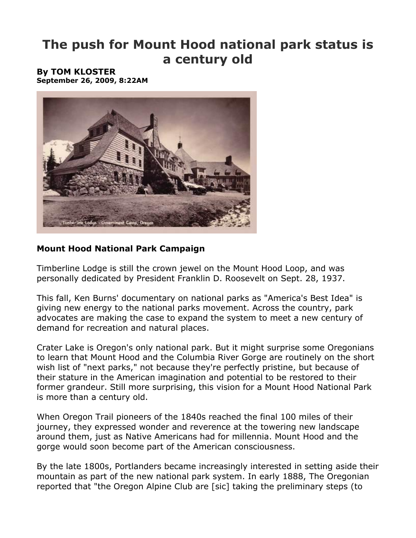# **The push for Mount Hood national park status is a century old**

#### **By TOM KLOSTER September 26, 2009, 8:22AM**



## **Mount Hood National Park Campaign**

Timberline Lodge is still the crown jewel on the Mount Hood Loop, and was personally dedicated by President Franklin D. Roosevelt on Sept. 28, 1937.

This fall, Ken Burns' documentary on national parks as "America's Best Idea" is giving new energy to the national parks movement. Across the country, park advocates are making the case to expand the system to meet a new century of demand for recreation and natural places.

Crater Lake is Oregon's only national park. But it might surprise some Oregonians to learn that Mount Hood and the Columbia River Gorge are routinely on the short wish list of "next parks," not because they're perfectly pristine, but because of their stature in the American imagination and potential to be restored to their former grandeur. Still more surprising, this vision for a Mount Hood National Park is more than a century old.

When Oregon Trail pioneers of the 1840s reached the final 100 miles of their journey, they expressed wonder and reverence at the towering new landscape around them, just as Native Americans had for millennia. Mount Hood and the gorge would soon become part of the American consciousness.

By the late 1800s, Portlanders became increasingly interested in setting aside their mountain as part of the new national park system. In early 1888, The Oregonian reported that "the Oregon Alpine Club are [sic] taking the preliminary steps (to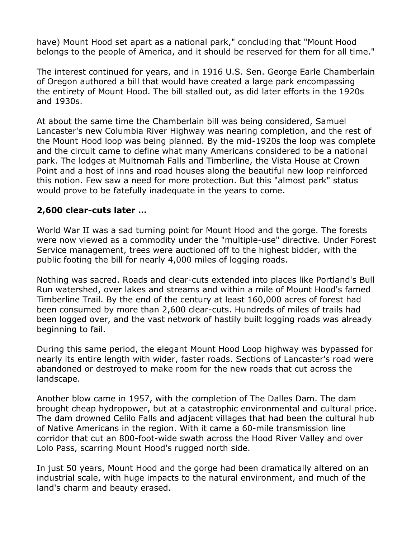have) Mount Hood set apart as a national park," concluding that "Mount Hood belongs to the people of America, and it should be reserved for them for all time."

The interest continued for years, and in 1916 U.S. Sen. George Earle Chamberlain of Oregon authored a bill that would have created a large park encompassing the entirety of Mount Hood. The bill stalled out, as did later efforts in the 1920s and 1930s.

At about the same time the Chamberlain bill was being considered, Samuel Lancaster's new Columbia River Highway was nearing completion, and the rest of the Mount Hood loop was being planned. By the mid-1920s the loop was complete and the circuit came to define what many Americans considered to be a national park. The lodges at Multnomah Falls and Timberline, the Vista House at Crown Point and a host of inns and road houses along the beautiful new loop reinforced this notion. Few saw a need for more protection. But this "almost park" status would prove to be fatefully inadequate in the years to come.

## **2,600 clear-cuts later ...**

World War II was a sad turning point for Mount Hood and the gorge. The forests were now viewed as a commodity under the "multiple-use" directive. Under Forest Service management, trees were auctioned off to the highest bidder, with the public footing the bill for nearly 4,000 miles of logging roads.

Nothing was sacred. Roads and clear-cuts extended into places like Portland's Bull Run watershed, over lakes and streams and within a mile of Mount Hood's famed Timberline Trail. By the end of the century at least 160,000 acres of forest had been consumed by more than 2,600 clear-cuts. Hundreds of miles of trails had been logged over, and the vast network of hastily built logging roads was already beginning to fail.

During this same period, the elegant Mount Hood Loop highway was bypassed for nearly its entire length with wider, faster roads. Sections of Lancaster's road were abandoned or destroyed to make room for the new roads that cut across the landscape.

Another blow came in 1957, with the completion of The Dalles Dam. The dam brought cheap hydropower, but at a catastrophic environmental and cultural price. The dam drowned Celilo Falls and adjacent villages that had been the cultural hub of Native Americans in the region. With it came a 60-mile transmission line corridor that cut an 800-foot-wide swath across the Hood River Valley and over Lolo Pass, scarring Mount Hood's rugged north side.

In just 50 years, Mount Hood and the gorge had been dramatically altered on an industrial scale, with huge impacts to the natural environment, and much of the land's charm and beauty erased.